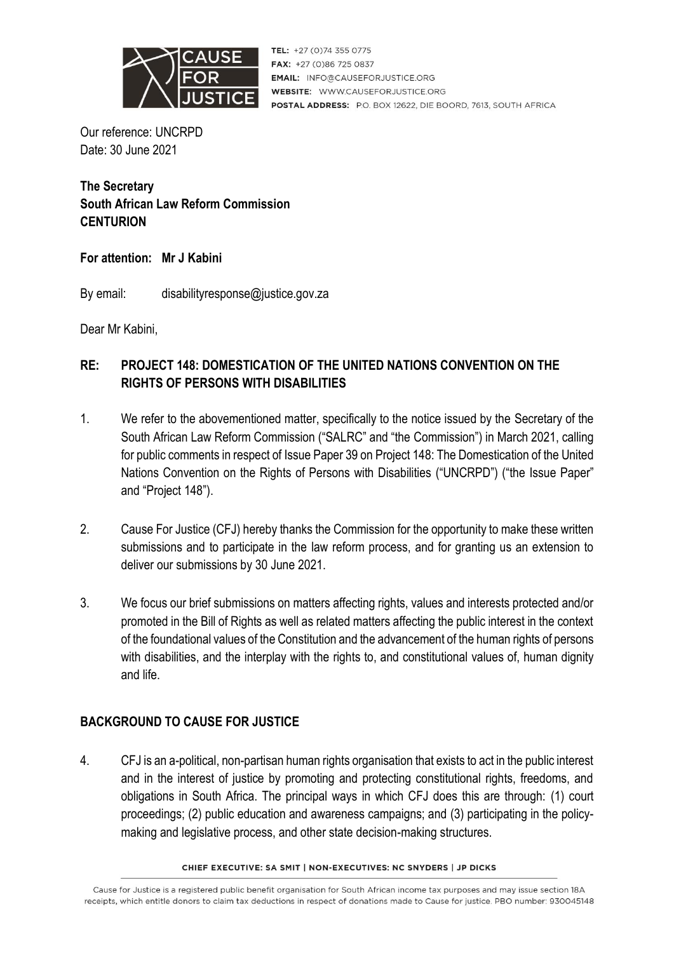

TEL: +27 (0)74 355 0775 FAX: +27 (0)86 725 0837 **EMAIL: INFO@CAUSEFORJUSTICE.ORG WEBSITE: WWW.CAUSEFORJUSTICE.ORG** POSTAL ADDRESS: P.O. BOX 12622, DIE BOORD, 7613, SOUTH AFRICA

Our reference: UNCRPD Date: 30 June 2021

# **The Secretary South African Law Reform Commission CENTURION**

### **For attention: Mr J Kabini**

By email: disabilityresponse@justice.gov.za

Dear Mr Kabini,

# **RE: PROJECT 148: DOMESTICATION OF THE UNITED NATIONS CONVENTION ON THE RIGHTS OF PERSONS WITH DISABILITIES**

- 1. We refer to the abovementioned matter, specifically to the notice issued by the Secretary of the South African Law Reform Commission ("SALRC" and "the Commission") in March 2021, calling for public comments in respect of Issue Paper 39 on Project 148: The Domestication of the United Nations Convention on the Rights of Persons with Disabilities ("UNCRPD") ("the Issue Paper" and "Project 148").
- 2. Cause For Justice (CFJ) hereby thanks the Commission for the opportunity to make these written submissions and to participate in the law reform process, and for granting us an extension to deliver our submissions by 30 June 2021.
- 3. We focus our brief submissions on matters affecting rights, values and interests protected and/or promoted in the Bill of Rights as well as related matters affecting the public interest in the context of the foundational values of the Constitution and the advancement of the human rights of persons with disabilities, and the interplay with the rights to, and constitutional values of, human dignity and life.

# **BACKGROUND TO CAUSE FOR JUSTICE**

4. CFJ is an a-political, non-partisan human rights organisation that exists to act in the public interest and in the interest of justice by promoting and protecting constitutional rights, freedoms, and obligations in South Africa. The principal ways in which CFJ does this are through: (1) court proceedings; (2) public education and awareness campaigns; and (3) participating in the policymaking and legislative process, and other state decision-making structures.

#### CHIEF EXECUTIVE: SA SMIT | NON-EXECUTIVES: NC SNYDERS | JP DICKS

Cause for Justice is a registered public benefit organisation for South African income tax purposes and may issue section 18A receipts, which entitle donors to claim tax deductions in respect of donations made to Cause for justice. PBO number: 930045148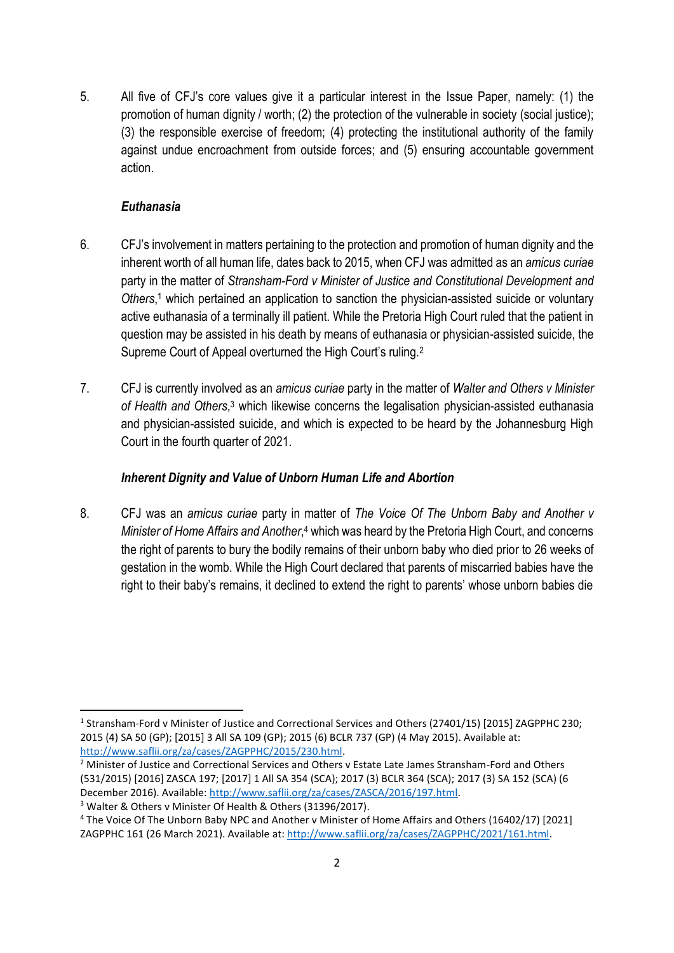5. All five of CFJ's core values give it a particular interest in the Issue Paper, namely: (1) the promotion of human dignity / worth; (2) the protection of the vulnerable in society (social justice); (3) the responsible exercise of freedom; (4) protecting the institutional authority of the family against undue encroachment from outside forces; and (5) ensuring accountable government action.

### *Euthanasia*

- 6. CFJ's involvement in matters pertaining to the protection and promotion of human dignity and the inherent worth of all human life, dates back to 2015, when CFJ was admitted as an *amicus curiae* party in the matter of *Stransham-Ford v Minister of Justice and Constitutional Development and Others*, <sup>1</sup> which pertained an application to sanction the physician-assisted suicide or voluntary active euthanasia of a terminally ill patient. While the Pretoria High Court ruled that the patient in question may be assisted in his death by means of euthanasia or physician-assisted suicide, the Supreme Court of Appeal overturned the High Court's ruling.<sup>2</sup>
- 7. CFJ is currently involved as an *amicus curiae* party in the matter of *Walter and Others v Minister of Health and Others*, <sup>3</sup> which likewise concerns the legalisation physician-assisted euthanasia and physician-assisted suicide, and which is expected to be heard by the Johannesburg High Court in the fourth quarter of 2021.

#### *Inherent Dignity and Value of Unborn Human Life and Abortion*

8. CFJ was an *amicus curiae* party in matter of *The Voice Of The Unborn Baby and Another v*  Minister of Home Affairs and Another,<sup>4</sup> which was heard by the Pretoria High Court, and concerns the right of parents to bury the bodily remains of their unborn baby who died prior to 26 weeks of gestation in the womb. While the High Court declared that parents of miscarried babies have the right to their baby's remains, it declined to extend the right to parents' whose unborn babies die

<sup>&</sup>lt;sup>1</sup> Stransham-Ford v Minister of Justice and Correctional Services and Others (27401/15) [2015] ZAGPPHC 230; 2015 (4) SA 50 (GP); [2015] 3 All SA 109 (GP); 2015 (6) BCLR 737 (GP) (4 May 2015). Available at: [http://www.saflii.org/za/cases/ZAGPPHC/2015/230.html.](http://www.saflii.org/za/cases/ZAGPPHC/2015/230.html)

<sup>&</sup>lt;sup>2</sup> Minister of Justice and Correctional Services and Others v Estate Late James Stransham-Ford and Others (531/2015) [2016] ZASCA 197; [2017] 1 All SA 354 (SCA); 2017 (3) BCLR 364 (SCA); 2017 (3) SA 152 (SCA) (6 December 2016). Available: [http://www.saflii.org/za/cases/ZASCA/2016/197.html.](http://www.saflii.org/za/cases/ZASCA/2016/197.html) 

<sup>3</sup> Walter & Others v Minister Of Health & Others (31396/2017).

<sup>4</sup> The Voice Of The Unborn Baby NPC and Another v Minister of Home Affairs and Others (16402/17) [2021] ZAGPPHC 161 (26 March 2021). Available at: [http://www.saflii.org/za/cases/ZAGPPHC/2021/161.html.](http://www.saflii.org/za/cases/ZAGPPHC/2021/161.html)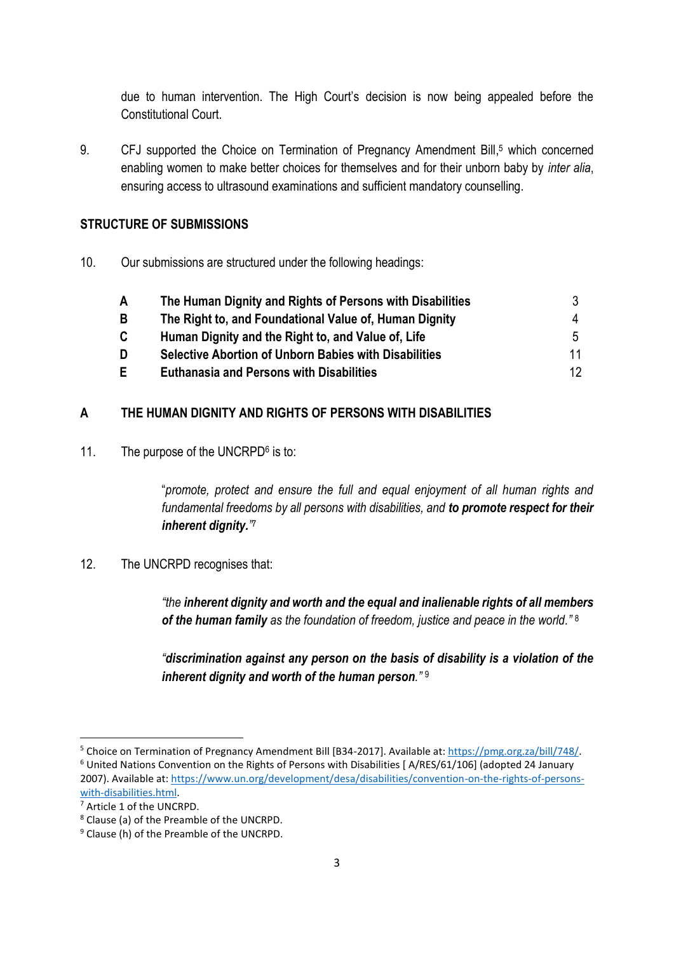due to human intervention. The High Court's decision is now being appealed before the Constitutional Court.

9. CFJ supported the Choice on Termination of Pregnancy Amendment Bill, <sup>5</sup> which concerned enabling women to make better choices for themselves and for their unborn baby by *inter alia*, ensuring access to ultrasound examinations and sufficient mandatory counselling.

### **STRUCTURE OF SUBMISSIONS**

10. Our submissions are structured under the following headings:

| A  | The Human Dignity and Rights of Persons with Disabilities    |    |
|----|--------------------------------------------------------------|----|
| B  | The Right to, and Foundational Value of, Human Dignity       |    |
| C. | Human Dignity and the Right to, and Value of, Life           | 5  |
| D  | <b>Selective Abortion of Unborn Babies with Disabilities</b> | 11 |
| F  | <b>Euthanasia and Persons with Disabilities</b>              | 12 |

### **A THE HUMAN DIGNITY AND RIGHTS OF PERSONS WITH DISABILITIES**

11. The purpose of the UNCRPD<sup>6</sup> is to:

"*promote, protect and ensure the full and equal enjoyment of all human rights and fundamental freedoms by all persons with disabilities, and to promote respect for their inherent dignity."* 7

12. The UNCRPD recognises that:

*"the inherent dignity and worth and the equal and inalienable rights of all members of the human family as the foundation of freedom, justice and peace in the world."* 8

*"discrimination against any person on the basis of disability is a violation of the inherent dignity and worth of the human person."* <sup>9</sup>

<sup>5</sup> Choice on Termination of Pregnancy Amendment Bill [B34-2017]. Available at: [https://pmg.org.za/bill/748/.](https://pmg.org.za/bill/748/) <sup>6</sup> United Nations Convention on the Rights of Persons with Disabilities [ A/RES/61/106] (adopted 24 January 2007). Available at: [https://www.un.org/development/desa/disabilities/convention-on-the-rights-of-persons](https://www.un.org/development/desa/disabilities/convention-on-the-rights-of-persons-with-disabilities.html)[with-disabilities.html.](https://www.un.org/development/desa/disabilities/convention-on-the-rights-of-persons-with-disabilities.html)

<sup>7</sup> Article 1 of the UNCRPD.

<sup>8</sup> Clause (a) of the Preamble of the UNCRPD.

<sup>9</sup> Clause (h) of the Preamble of the UNCRPD.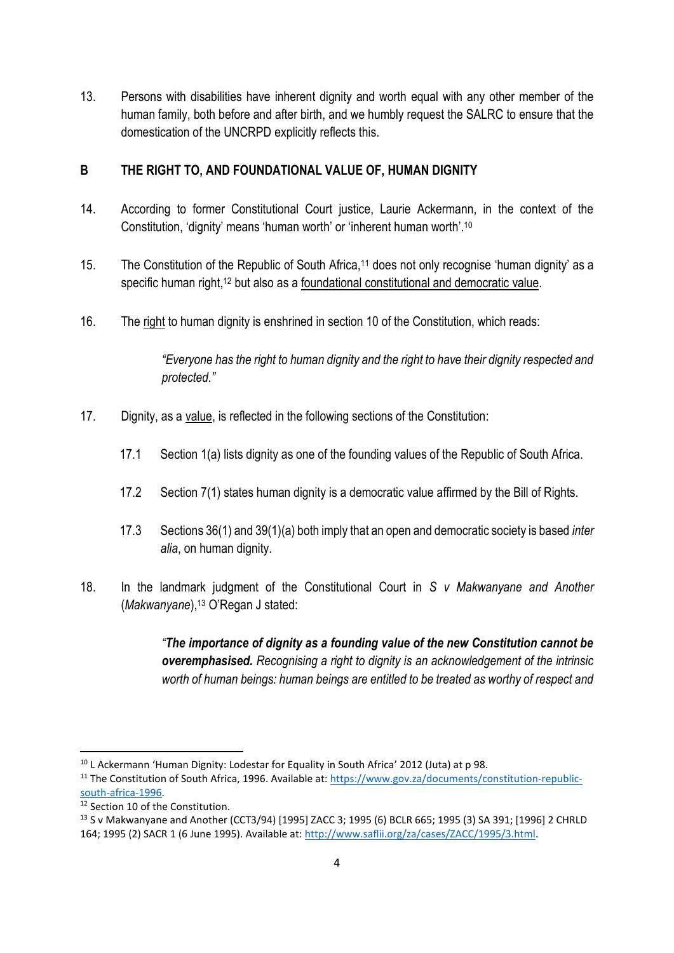13. Persons with disabilities have inherent dignity and worth equal with any other member of the human family, both before and after birth, and we humbly request the SALRC to ensure that the domestication of the UNCRPD explicitly reflects this.

### **B THE RIGHT TO, AND FOUNDATIONAL VALUE OF, HUMAN DIGNITY**

- 14. According to former Constitutional Court justice, Laurie Ackermann, in the context of the Constitution, 'dignity' means 'human worth' or 'inherent human worth'.<sup>10</sup>
- 15. The Constitution of the Republic of South Africa,<sup>11</sup> does not only recognise 'human dignity' as a specific human right,<sup>12</sup> but also as a foundational constitutional and democratic value.
- 16. The right to human dignity is enshrined in section 10 of the Constitution, which reads:

*"Everyone has the right to human dignity and the right to have their dignity respected and protected."*

- 17. Dignity, as a value, is reflected in the following sections of the Constitution:
	- 17.1 Section 1(a) lists dignity as one of the founding values of the Republic of South Africa.
	- 17.2 Section 7(1) states human dignity is a democratic value affirmed by the Bill of Rights.
	- 17.3 Sections 36(1) and 39(1)(a) both imply that an open and democratic society is based *inter alia*, on human dignity.
- 18. In the landmark judgment of the Constitutional Court in *S v Makwanyane and Another* (*Makwanyane*), <sup>13</sup> O'Regan J stated:

*"The importance of dignity as a founding value of the new Constitution cannot be overemphasised. Recognising a right to dignity is an acknowledgement of the intrinsic worth of human beings: human beings are entitled to be treated as worthy of respect and* 

<sup>&</sup>lt;sup>10</sup> L Ackermann 'Human Dignity: Lodestar for Equality in South Africa' 2012 (Juta) at p 98.

<sup>&</sup>lt;sup>11</sup> The Constitution of South Africa, 1996. Available at: [https://www.gov.za/documents/constitution-republic](https://www.gov.za/documents/constitution-republic-south-africa-1996)[south-africa-1996.](https://www.gov.za/documents/constitution-republic-south-africa-1996)

 $12$  Section 10 of the Constitution.

<sup>13</sup> S v Makwanyane and Another (CCT3/94) [1995] ZACC 3; 1995 (6) BCLR 665; 1995 (3) SA 391; [1996] 2 CHRLD 164; 1995 (2) SACR 1 (6 June 1995). Available at[: http://www.saflii.org/za/cases/ZACC/1995/3.html.](http://www.saflii.org/za/cases/ZACC/1995/3.html)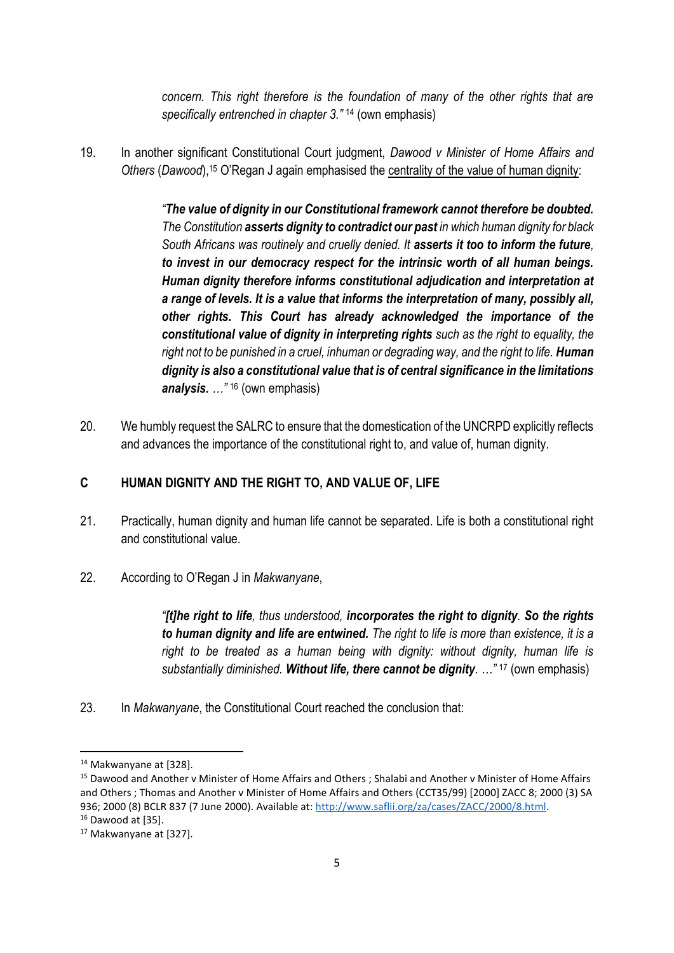*concern. This right therefore is the foundation of many of the other rights that are specifically entrenched in chapter 3."* <sup>14</sup> (own emphasis)

19. In another significant Constitutional Court judgment, *Dawood v Minister of Home Affairs and* Others (Dawood),<sup>15</sup> O'Regan J again emphasised the centrality of the value of human dignity:

> *"The value of dignity in our Constitutional framework cannot therefore be doubted. The Constitution asserts dignity to contradict our past in which human dignity for black South Africans was routinely and cruelly denied. It asserts it too to inform the future, to invest in our democracy respect for the intrinsic worth of all human beings. Human dignity therefore informs constitutional adjudication and interpretation at a range of levels. It is a value that informs the interpretation of many, possibly all, other rights. This Court has already acknowledged the importance of the constitutional value of dignity in interpreting rights such as the right to equality, the right not to be punished in a cruel, inhuman or degrading way, and the right to life. Human dignity is also a constitutional value that is of central significance in the limitations analysis. …"* <sup>16</sup> (own emphasis)

20. We humbly request the SALRC to ensure that the domestication of the UNCRPD explicitly reflects and advances the importance of the constitutional right to, and value of, human dignity.

### **C HUMAN DIGNITY AND THE RIGHT TO, AND VALUE OF, LIFE**

- 21. Practically, human dignity and human life cannot be separated. Life is both a constitutional right and constitutional value.
- 22. According to O'Regan J in *Makwanyane*,

*"[t]he right to life, thus understood, incorporates the right to dignity. So the rights to human dignity and life are entwined. The right to life is more than existence, it is a right to be treated as a human being with dignity: without dignity, human life is substantially diminished. Without life, there cannot be dignity. …"* <sup>17</sup> (own emphasis)

23. In *Makwanyane*, the Constitutional Court reached the conclusion that:

<sup>14</sup> Makwanyane at [328].

<sup>15</sup> Dawood and Another v Minister of Home Affairs and Others ; Shalabi and Another v Minister of Home Affairs and Others ; Thomas and Another v Minister of Home Affairs and Others (CCT35/99) [2000] ZACC 8; 2000 (3) SA 936; 2000 (8) BCLR 837 (7 June 2000). Available at: [http://www.saflii.org/za/cases/ZACC/2000/8.html.](http://www.saflii.org/za/cases/ZACC/2000/8.html) <sup>16</sup> Dawood at [35].

<sup>17</sup> Makwanyane at [327].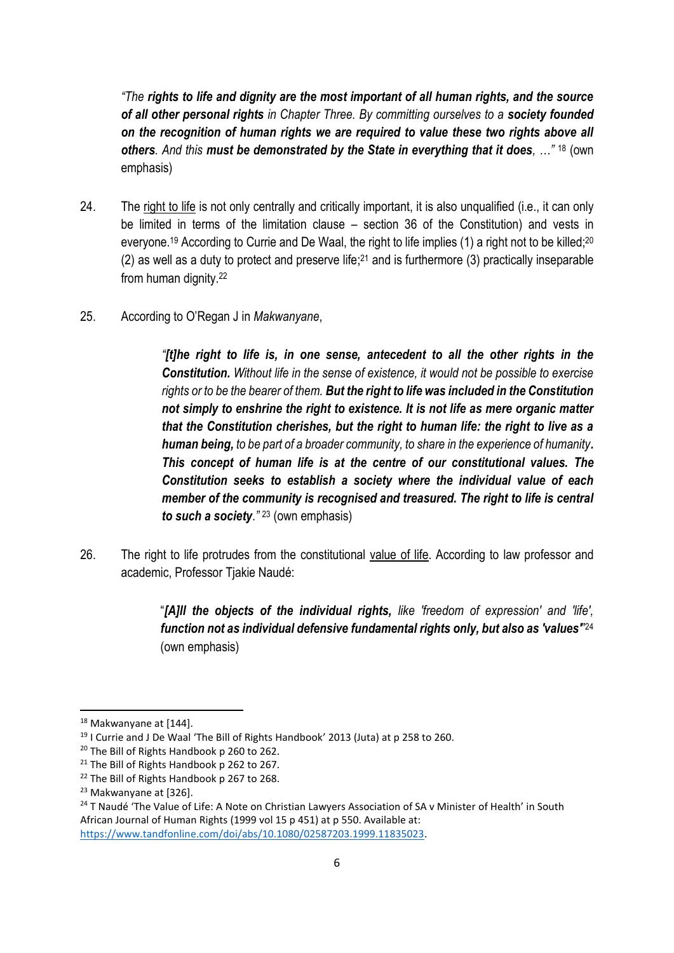*"The rights to life and dignity are the most important of all human rights, and the source of all other personal rights in Chapter Three. By committing ourselves to a society founded on the recognition of human rights we are required to value these two rights above all others. And this must be demonstrated by the State in everything that it does, …"* <sup>18</sup> (own emphasis)

- 24. The right to life is not only centrally and critically important, it is also unqualified (i.e., it can only be limited in terms of the limitation clause – section 36 of the Constitution) and vests in everyone.<sup>19</sup> According to Currie and De Waal, the right to life implies (1) a right not to be killed;<sup>20</sup>  $(2)$  as well as a duty to protect and preserve life;<sup>21</sup> and is furthermore (3) practically inseparable from human dignity.<sup>22</sup>
- 25. According to O'Regan J in *Makwanyane*,

*"[t]he right to life is, in one sense, antecedent to all the other rights in the Constitution. Without life in the sense of existence, it would not be possible to exercise rights or to be the bearer of them. But the right to life was included in the Constitution not simply to enshrine the right to existence. It is not life as mere organic matter that the Constitution cherishes, but the right to human life: the right to live as a human being, to be part of a broader community, to share in the experience of humanity. This concept of human life is at the centre of our constitutional values. The Constitution seeks to establish a society where the individual value of each member of the community is recognised and treasured. The right to life is central to such a society*.*"* <sup>23</sup> (own emphasis)

26. The right to life protrudes from the constitutional value of life. According to law professor and academic, Professor Tjakie Naudé:

> "*[A]ll the objects of the individual rights, like 'freedom of expression' and 'life', function not as individual defensive fundamental rights only, but also as 'values'*" 24 (own emphasis)

<sup>18</sup> Makwanyane at [144].

<sup>&</sup>lt;sup>19</sup> I Currie and J De Waal 'The Bill of Rights Handbook' 2013 (Juta) at p 258 to 260.

<sup>20</sup> The Bill of Rights Handbook p 260 to 262.

<sup>&</sup>lt;sup>21</sup> The Bill of Rights Handbook p 262 to 267.

<sup>&</sup>lt;sup>22</sup> The Bill of Rights Handbook p 267 to 268.

<sup>23</sup> Makwanyane at [326].

<sup>&</sup>lt;sup>24</sup> T Naudé 'The Value of Life: A Note on Christian Lawyers Association of SA v Minister of Health' in South African Journal of Human Rights (1999 vol 15 p 451) at p 550. Available at: [https://www.tandfonline.com/doi/abs/10.1080/02587203.1999.11835023.](https://www.tandfonline.com/doi/abs/10.1080/02587203.1999.11835023)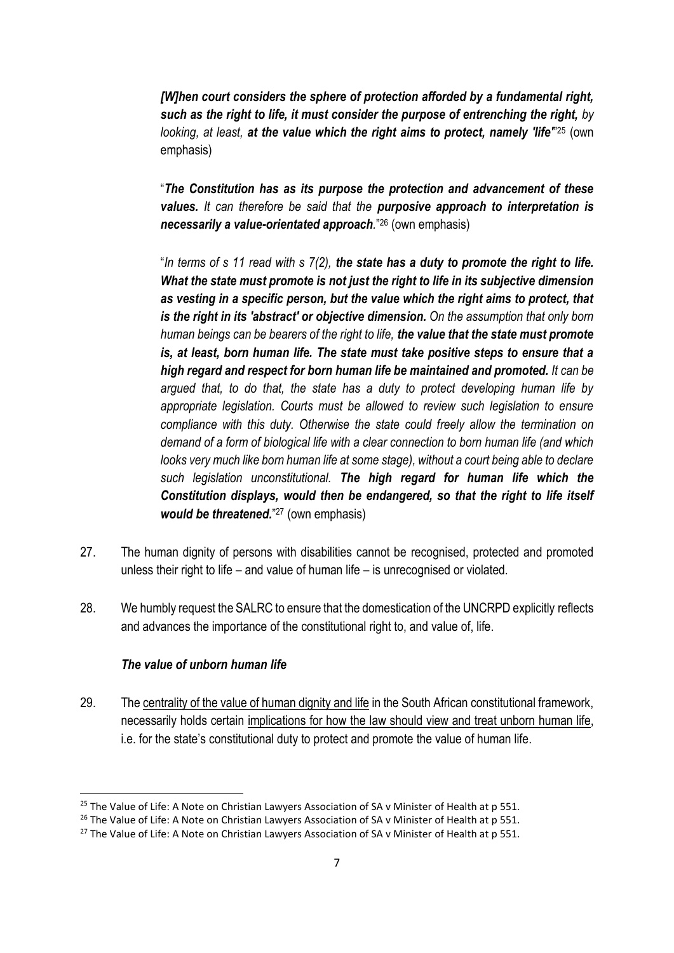*[W]hen court considers the sphere of protection afforded by a fundamental right, such as the right to life, it must consider the purpose of entrenching the right, by*  looking, at least, at the value which the right aims to protect, namely 'life<sup>"25</sup> (own emphasis)

"*The Constitution has as its purpose the protection and advancement of these values. It can therefore be said that the purposive approach to interpretation is necessarily a value-orientated approach.*" <sup>26</sup> (own emphasis)

"*In terms of s 11 read with s 7(2), the state has a duty to promote the right to life. What the state must promote is not just the right to life in its subjective dimension as vesting in a specific person, but the value which the right aims to protect, that is the right in its 'abstract' or objective dimension. On the assumption that only born human beings can be bearers of the right to life, the value that the state must promote is, at least, born human life. The state must take positive steps to ensure that a high regard and respect for born human life be maintained and promoted. It can be argued that, to do that, the state has a duty to protect developing human life by appropriate legislation. Courts must be allowed to review such legislation to ensure compliance with this duty. Otherwise the state could freely allow the termination on demand of a form of biological life with a clear connection to born human life (and which looks very much like born human life at some stage), without a court being able to declare such legislation unconstitutional. The high regard for human life which the Constitution displays, would then be endangered, so that the right to life itself*  would be threatened."<sup>27</sup> (own emphasis)

- 27. The human dignity of persons with disabilities cannot be recognised, protected and promoted unless their right to life – and value of human life – is unrecognised or violated.
- 28. We humbly request the SALRC to ensure that the domestication of the UNCRPD explicitly reflects and advances the importance of the constitutional right to, and value of, life.

### *The value of unborn human life*

29. The centrality of the value of human dignity and life in the South African constitutional framework, necessarily holds certain implications for how the law should view and treat unborn human life, i.e. for the state's constitutional duty to protect and promote the value of human life.

<sup>&</sup>lt;sup>25</sup> The Value of Life: A Note on Christian Lawyers Association of SA v Minister of Health at p 551.

<sup>&</sup>lt;sup>26</sup> The Value of Life: A Note on Christian Lawyers Association of SA v Minister of Health at p 551.

<sup>&</sup>lt;sup>27</sup> The Value of Life: A Note on Christian Lawyers Association of SA v Minister of Health at p 551.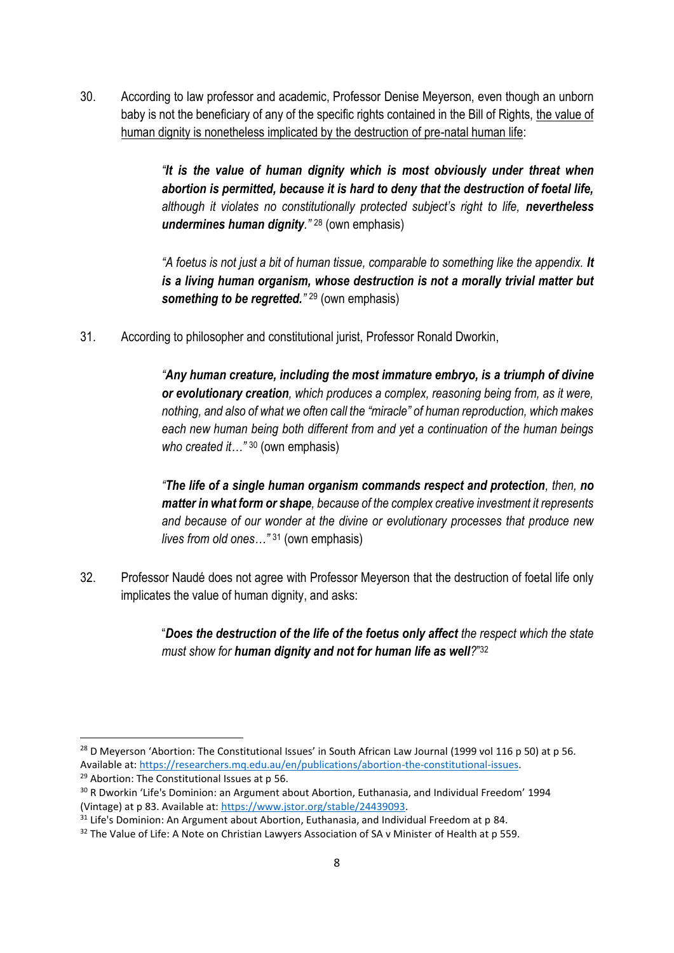30. According to law professor and academic, Professor Denise Meyerson, even though an unborn baby is not the beneficiary of any of the specific rights contained in the Bill of Rights, the value of human dignity is nonetheless implicated by the destruction of pre-natal human life:

> *"It is the value of human dignity which is most obviously under threat when abortion is permitted, because it is hard to deny that the destruction of foetal life,*  although it violates no constitutionally protected subject's right to life, **nevertheless** *undermines human dignity."* <sup>28</sup> (own emphasis)

> *"A foetus is not just a bit of human tissue, comparable to something like the appendix. It is a living human organism, whose destruction is not a morally trivial matter but something to be regretted."* <sup>29</sup> (own emphasis)

31. According to philosopher and constitutional jurist, Professor Ronald Dworkin,

*"Any human creature, including the most immature embryo, is a triumph of divine or evolutionary creation, which produces a complex, reasoning being from, as it were, nothing, and also of what we often call the "miracle" of human reproduction, which makes each new human being both different from and yet a continuation of the human beings who created it…"* <sup>30</sup> (own emphasis)

*"The life of a single human organism commands respect and protection, then, no matter in what form or shape, because of the complex creative investment it represents and because of our wonder at the divine or evolutionary processes that produce new lives from old ones…"* <sup>31</sup> (own emphasis)

32. Professor Naudé does not agree with Professor Meyerson that the destruction of foetal life only implicates the value of human dignity, and asks:

> "*Does the destruction of the life of the foetus only affect the respect which the state must show for human dignity and not for human life as well?*" 32

<sup>&</sup>lt;sup>28</sup> D Meyerson 'Abortion: The Constitutional Issues' in South African Law Journal (1999 vol 116 p 50) at p 56. Available at: [https://researchers.mq.edu.au/en/publications/abortion-the-constitutional-issues.](https://researchers.mq.edu.au/en/publications/abortion-the-constitutional-issues)

<sup>&</sup>lt;sup>29</sup> Abortion: The Constitutional Issues at p 56.

<sup>&</sup>lt;sup>30</sup> R Dworkin 'Life's Dominion: an Argument about Abortion, Euthanasia, and Individual Freedom' 1994 (Vintage) at p 83. Available at[: https://www.jstor.org/stable/24439093.](https://www.jstor.org/stable/24439093)

 $31$  Life's Dominion: An Argument about Abortion, Euthanasia, and Individual Freedom at p 84.

<sup>&</sup>lt;sup>32</sup> The Value of Life: A Note on Christian Lawyers Association of SA v Minister of Health at p 559.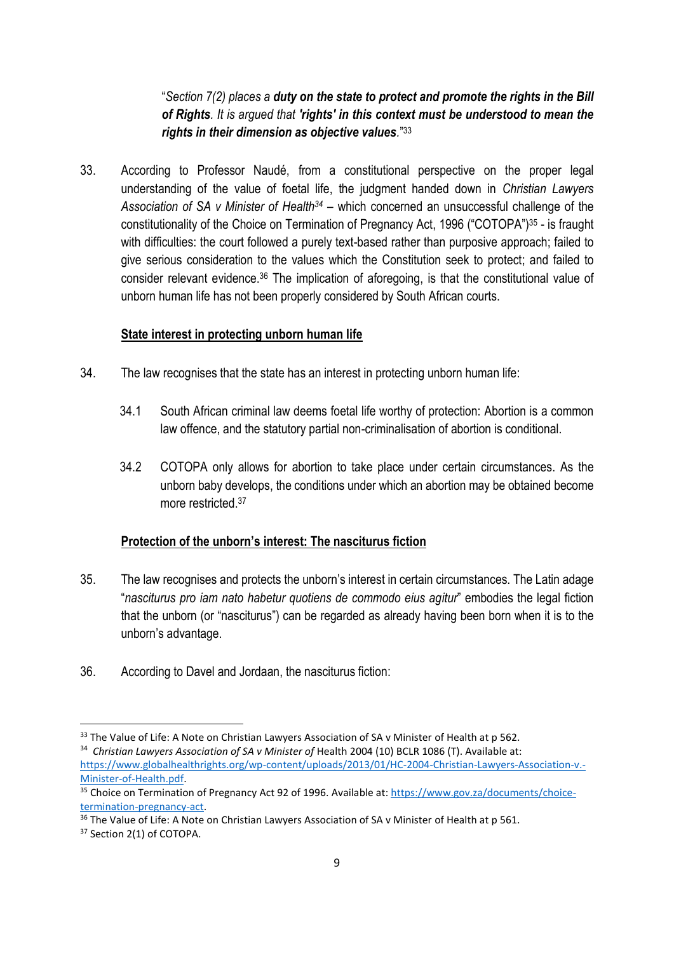"*Section 7(2) places a duty on the state to protect and promote the rights in the Bill of Rights. It is argued that 'rights' in this context must be understood to mean the rights in their dimension as objective values.*" 33

33. According to Professor Naudé, from a constitutional perspective on the proper legal understanding of the value of foetal life, the judgment handed down in *Christian Lawyers Association of SA v Minister of Health<sup>34</sup>* – which concerned an unsuccessful challenge of the constitutionality of the Choice on Termination of Pregnancy Act, 1996 ("COTOPA") <sup>35</sup> - is fraught with difficulties: the court followed a purely text-based rather than purposive approach; failed to give serious consideration to the values which the Constitution seek to protect; and failed to consider relevant evidence. <sup>36</sup> The implication of aforegoing, is that the constitutional value of unborn human life has not been properly considered by South African courts.

#### **State interest in protecting unborn human life**

- 34. The law recognises that the state has an interest in protecting unborn human life:
	- 34.1 South African criminal law deems foetal life worthy of protection: Abortion is a common law offence, and the statutory partial non-criminalisation of abortion is conditional.
	- 34.2 COTOPA only allows for abortion to take place under certain circumstances. As the unborn baby develops, the conditions under which an abortion may be obtained become more restricted. 37

#### **Protection of the unborn's interest: The nasciturus fiction**

- 35. The law recognises and protects the unborn's interest in certain circumstances. The Latin adage "*nasciturus pro iam nato habetur quotiens de commodo eius agitur*" embodies the legal fiction that the unborn (or "nasciturus") can be regarded as already having been born when it is to the unborn's advantage.
- 36. According to Davel and Jordaan, the nasciturus fiction:

<sup>&</sup>lt;sup>33</sup> The Value of Life: A Note on Christian Lawyers Association of SA v Minister of Health at p 562.

<sup>&</sup>lt;sup>34</sup> Christian Lawyers Association of SA v Minister of Health 2004 (10) BCLR 1086 (T). Available at: [https://www.globalhealthrights.org/wp-content/uploads/2013/01/HC-2004-Christian-Lawyers-Association-v.-](https://www.globalhealthrights.org/wp-content/uploads/2013/01/HC-2004-Christian-Lawyers-Association-v.-Minister-of-Health.pdf) [Minister-of-Health.pdf.](https://www.globalhealthrights.org/wp-content/uploads/2013/01/HC-2004-Christian-Lawyers-Association-v.-Minister-of-Health.pdf) 

<sup>35</sup> Choice on Termination of Pregnancy Act 92 of 1996. Available at[: https://www.gov.za/documents/choice](https://www.gov.za/documents/choice-termination-pregnancy-act)[termination-pregnancy-act.](https://www.gov.za/documents/choice-termination-pregnancy-act)

<sup>&</sup>lt;sup>36</sup> The Value of Life: A Note on Christian Lawyers Association of SA v Minister of Health at p 561.

<sup>&</sup>lt;sup>37</sup> Section 2(1) of COTOPA.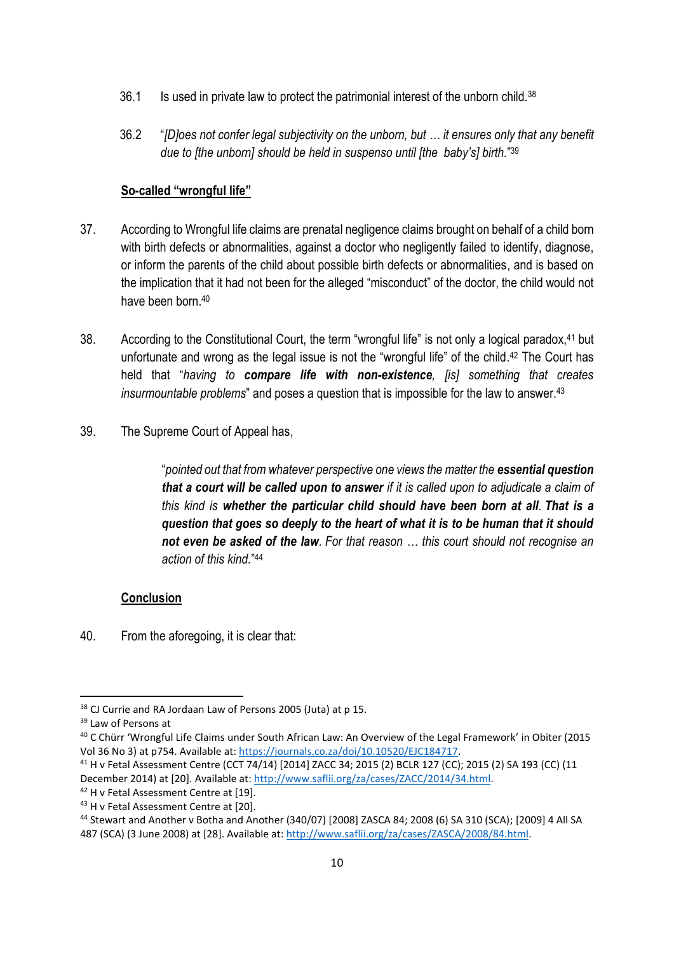- 36.1 Is used in private law to protect the patrimonial interest of the unborn child.<sup>38</sup>
- 36.2 "*[D]oes not confer legal subjectivity on the unborn, but … it ensures only that any benefit due to [the unborn] should be held in suspenso until [the baby's] birth.*" 39

### **So-called "wrongful life"**

- 37. According to Wrongful life claims are prenatal negligence claims brought on behalf of a child born with birth defects or abnormalities, against a doctor who negligently failed to identify, diagnose, or inform the parents of the child about possible birth defects or abnormalities, and is based on the implication that it had not been for the alleged "misconduct" of the doctor, the child would not have been born. 40
- 38. According to the Constitutional Court, the term "wrongful life" is not only a logical paradox,<sup>41</sup> but unfortunate and wrong as the legal issue is not the "wrongful life" of the child. <sup>42</sup> The Court has held that "*having to compare life with non-existence, [is] something that creates insurmountable problems*" and poses a question that is impossible for the law to answer.<sup>43</sup>
- 39. The Supreme Court of Appeal has,

"*pointed out that from whatever perspective one views the matter the essential question that a court will be called upon to answer if it is called upon to adjudicate a claim of this kind is whether the particular child should have been born at all. That is a question that goes so deeply to the heart of what it is to be human that it should not even be asked of the law. For that reason … this court should not recognise an action of this kind.*" 44

### **Conclusion**

40. From the aforegoing, it is clear that:

<sup>&</sup>lt;sup>38</sup> CJ Currie and RA Jordaan Law of Persons 2005 (Juta) at p 15.

<sup>39</sup> Law of Persons at

<sup>40</sup> C Chürr 'Wrongful Life Claims under South African Law: An Overview of the Legal Framework' in Obiter (2015 Vol 36 No 3) at p754. Available at: [https://journals.co.za/doi/10.10520/EJC184717.](https://journals.co.za/doi/10.10520/EJC184717)

<sup>41</sup> H v Fetal Assessment Centre (CCT 74/14) [2014] ZACC 34; 2015 (2) BCLR 127 (CC); 2015 (2) SA 193 (CC) (11 December 2014) at [20]. Available at[: http://www.saflii.org/za/cases/ZACC/2014/34.html.](http://www.saflii.org/za/cases/ZACC/2014/34.html)

<sup>42</sup> H v Fetal Assessment Centre at [19]. <sup>43</sup> H v Fetal Assessment Centre at [20].

<sup>44</sup> Stewart and Another v Botha and Another (340/07) [2008] ZASCA 84; 2008 (6) SA 310 (SCA); [2009] 4 All SA 487 (SCA) (3 June 2008) at [28]. Available at: [http://www.saflii.org/za/cases/ZASCA/2008/84.html.](http://www.saflii.org/za/cases/ZASCA/2008/84.html)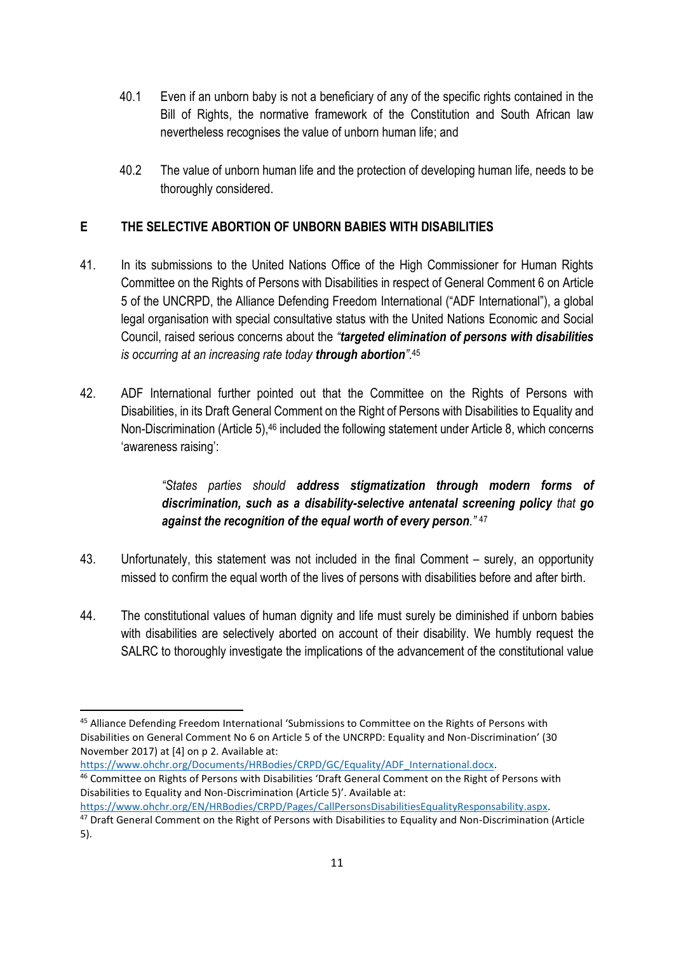- 40.1 Even if an unborn baby is not a beneficiary of any of the specific rights contained in the Bill of Rights, the normative framework of the Constitution and South African law nevertheless recognises the value of unborn human life; and
- 40.2 The value of unborn human life and the protection of developing human life, needs to be thoroughly considered.

## **E THE SELECTIVE ABORTION OF UNBORN BABIES WITH DISABILITIES**

- 41. In its submissions to the United Nations Office of the High Commissioner for Human Rights Committee on the Rights of Persons with Disabilities in respect of General Comment 6 on Article 5 of the UNCRPD, the Alliance Defending Freedom International ("ADF International"), a global legal organisation with special consultative status with the United Nations Economic and Social Council, raised serious concerns about the *"targeted elimination of persons with disabilities is occurring at an increasing rate today through abortion"*. 45
- 42. ADF International further pointed out that the Committee on the Rights of Persons with Disabilities, in its Draft General Comment on the Right of Persons with Disabilities to Equality and Non-Discrimination (Article 5),<sup>46</sup> included the following statement under Article 8, which concerns 'awareness raising':

# *"States parties should address stigmatization through modern forms of discrimination, such as a disability-selective antenatal screening policy that go against the recognition of the equal worth of every person."* 47

- 43. Unfortunately, this statement was not included in the final Comment surely, an opportunity missed to confirm the equal worth of the lives of persons with disabilities before and after birth.
- 44. The constitutional values of human dignity and life must surely be diminished if unborn babies with disabilities are selectively aborted on account of their disability. We humbly request the SALRC to thoroughly investigate the implications of the advancement of the constitutional value

[https://www.ohchr.org/Documents/HRBodies/CRPD/GC/Equality/ADF\\_International.docx.](https://www.ohchr.org/Documents/HRBodies/CRPD/GC/Equality/ADF_International.docx)

[https://www.ohchr.org/EN/HRBodies/CRPD/Pages/CallPersonsDisabilitiesEqualityResponsability.aspx.](https://www.ohchr.org/EN/HRBodies/CRPD/Pages/CallPersonsDisabilitiesEqualityResponsability.aspx)

<sup>45</sup> Alliance Defending Freedom International 'Submissions to Committee on the Rights of Persons with Disabilities on General Comment No 6 on Article 5 of the UNCRPD: Equality and Non-Discrimination' (30 November 2017) at [4] on p 2. Available at:

<sup>46</sup> Committee on Rights of Persons with Disabilities 'Draft General Comment on the Right of Persons with Disabilities to Equality and Non-Discrimination (Article 5)'. Available at:

<sup>&</sup>lt;sup>47</sup> Draft General Comment on the Right of Persons with Disabilities to Equality and Non-Discrimination (Article 5).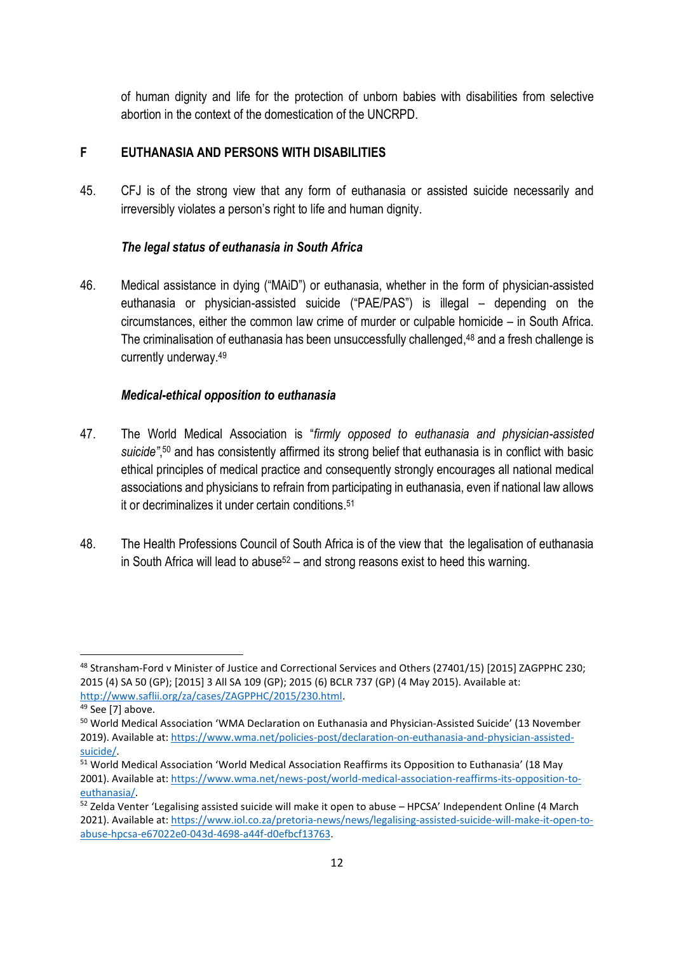of human dignity and life for the protection of unborn babies with disabilities from selective abortion in the context of the domestication of the UNCRPD.

### **F EUTHANASIA AND PERSONS WITH DISABILITIES**

45. CFJ is of the strong view that any form of euthanasia or assisted suicide necessarily and irreversibly violates a person's right to life and human dignity.

### *The legal status of euthanasia in South Africa*

46. Medical assistance in dying ("MAiD") or euthanasia, whether in the form of physician-assisted euthanasia or physician-assisted suicide ("PAE/PAS") is illegal – depending on the circumstances, either the common law crime of murder or culpable homicide – in South Africa. The criminalisation of euthanasia has been unsuccessfully challenged, <sup>48</sup> and a fresh challenge is currently underway. 49

### *Medical-ethical opposition to euthanasia*

- 47. The World Medical Association is "*firmly opposed to euthanasia and physician-assisted*  suicide",<sup>50</sup> and has consistently affirmed its strong belief that euthanasia is in conflict with basic ethical principles of medical practice and consequently strongly encourages all national medical associations and physicians to refrain from participating in euthanasia, even if national law allows it or decriminalizes it under certain conditions. 51
- 48. The Health Professions Council of South Africa is of the view that the legalisation of euthanasia in South Africa will lead to abuse<sup>52</sup> – and strong reasons exist to heed this warning.

<sup>48</sup> Stransham-Ford v Minister of Justice and Correctional Services and Others (27401/15) [2015] ZAGPPHC 230; 2015 (4) SA 50 (GP); [2015] 3 All SA 109 (GP); 2015 (6) BCLR 737 (GP) (4 May 2015). Available at: [http://www.saflii.org/za/cases/ZAGPPHC/2015/230.html.](http://www.saflii.org/za/cases/ZAGPPHC/2015/230.html)

 $49$  See [7] above.

<sup>50</sup> World Medical Association 'WMA Declaration on Euthanasia and Physician-Assisted Suicide' (13 November 2019). Available at: [https://www.wma.net/policies-post/declaration-on-euthanasia-and-physician-assisted](https://www.wma.net/policies-post/declaration-on-euthanasia-and-physician-assisted-suicide/)[suicide/.](https://www.wma.net/policies-post/declaration-on-euthanasia-and-physician-assisted-suicide/)

<sup>&</sup>lt;sup>51</sup> World Medical Association 'World Medical Association Reaffirms its Opposition to Euthanasia' (18 May 2001). Available at: [https://www.wma.net/news-post/world-medical-association-reaffirms-its-opposition-to](https://www.wma.net/news-post/world-medical-association-reaffirms-its-opposition-to-euthanasia/)[euthanasia/.](https://www.wma.net/news-post/world-medical-association-reaffirms-its-opposition-to-euthanasia/)

<sup>52</sup> Zelda Venter 'Legalising assisted suicide will make it open to abuse – HPCSA' Independent Online (4 March 2021). Available at: [https://www.iol.co.za/pretoria-news/news/legalising-assisted-suicide-will-make-it-open-to](https://www.iol.co.za/pretoria-news/news/legalising-assisted-suicide-will-make-it-open-to-abuse-hpcsa-e67022e0-043d-4698-a44f-d0efbcf13763)[abuse-hpcsa-e67022e0-043d-4698-a44f-d0efbcf13763.](https://www.iol.co.za/pretoria-news/news/legalising-assisted-suicide-will-make-it-open-to-abuse-hpcsa-e67022e0-043d-4698-a44f-d0efbcf13763)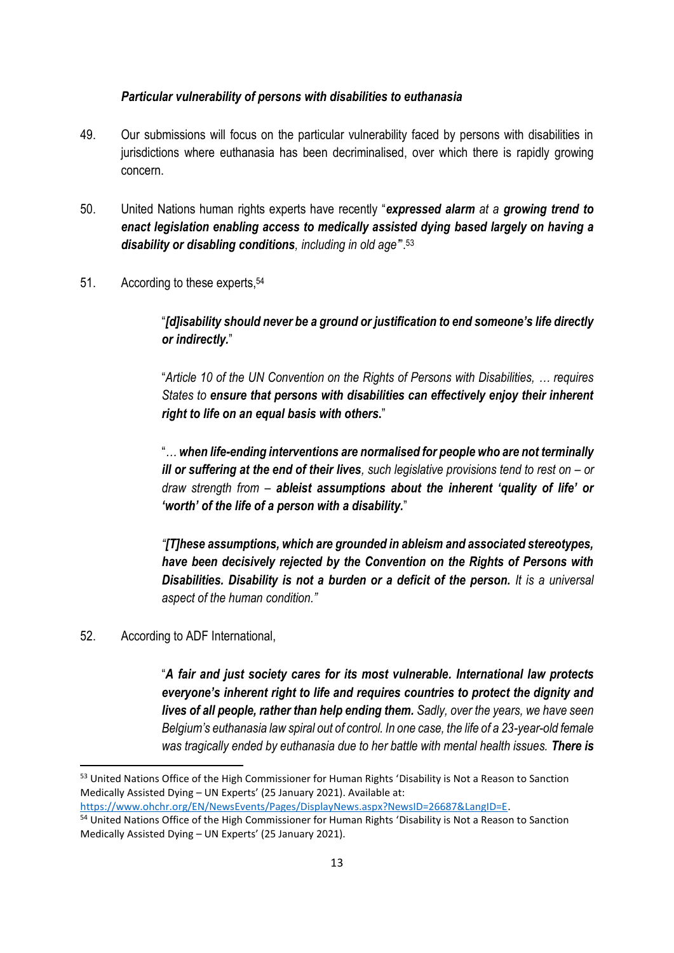#### *Particular vulnerability of persons with disabilities to euthanasia*

- 49. Our submissions will focus on the particular vulnerability faced by persons with disabilities in jurisdictions where euthanasia has been decriminalised, over which there is rapidly growing concern.
- 50. United Nations human rights experts have recently "*expressed alarm at a growing trend to enact legislation enabling access to medically assisted dying based largely on having a disability or disabling conditions, including in old age'*". 53
- 51. According to these experts, 54

"*[d]isability should never be a ground or justification to end someone's life directly or indirectly.*"

"*Article 10 of the UN Convention on the Rights of Persons with Disabilities, … requires States to ensure that persons with disabilities can effectively enjoy their inherent right to life on an equal basis with others***.**"

"*… when life-ending interventions are normalised for people who are not terminally ill or suffering at the end of their lives, such legislative provisions tend to rest on – or draw strength from – ableist assumptions about the inherent 'quality of life' or 'worth' of the life of a person with a disability.*"

*"[T]hese assumptions, which are grounded in ableism and associated stereotypes, have been decisively rejected by the Convention on the Rights of Persons with Disabilities. Disability is not a burden or a deficit of the person. It is a universal aspect of the human condition."*

52. According to ADF International,

"*A fair and just society cares for its most vulnerable. International law protects everyone's inherent right to life and requires countries to protect the dignity and lives of all people, rather than help ending them. Sadly, over the years, we have seen Belgium's euthanasia law spiral out of control. In one case, the life of a 23-year-old female was tragically ended by euthanasia due to her battle with mental health issues. There is* 

<sup>&</sup>lt;sup>53</sup> United Nations Office of the High Commissioner for Human Rights 'Disability is Not a Reason to Sanction Medically Assisted Dying – UN Experts' (25 January 2021). Available at:

[https://www.ohchr.org/EN/NewsEvents/Pages/DisplayNews.aspx?NewsID=26687&LangID=E.](https://www.ohchr.org/EN/NewsEvents/Pages/DisplayNews.aspx?NewsID=26687&LangID=E)

<sup>&</sup>lt;sup>54</sup> United Nations Office of the High Commissioner for Human Rights 'Disability is Not a Reason to Sanction Medically Assisted Dying – UN Experts' (25 January 2021).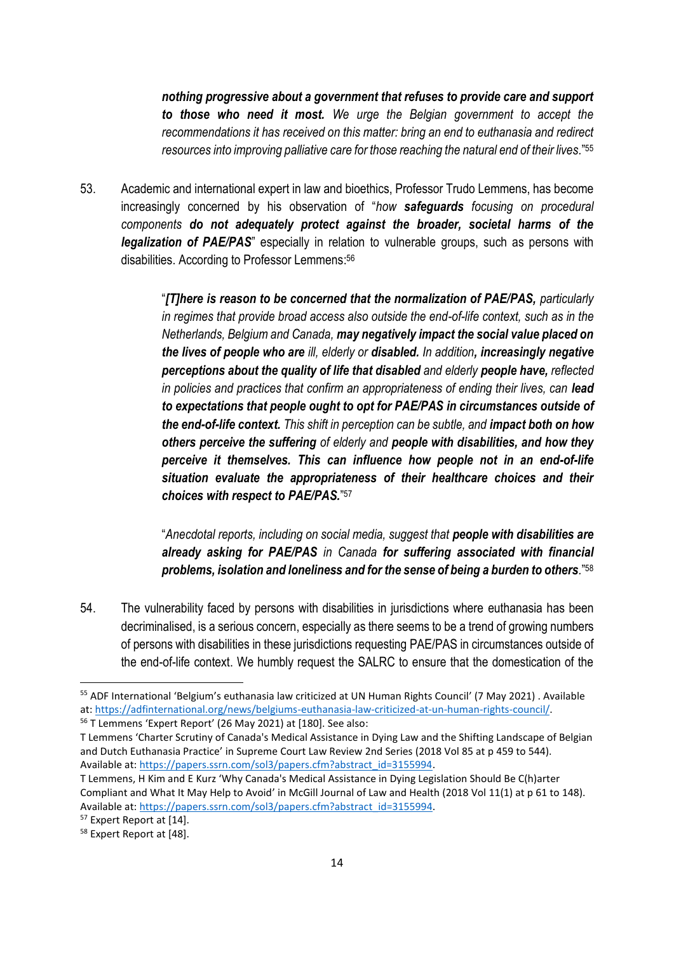*nothing progressive about a government that refuses to provide care and support to those who need it most. We urge the Belgian government to accept the recommendations it has received on this matter: bring an end to euthanasia and redirect resources into improving palliative care for those reaching the natural end of their lives.*" 55

53. Academic and international expert in law and bioethics, Professor Trudo Lemmens, has become increasingly concerned by his observation of "*how safeguards focusing on procedural components do not adequately protect against the broader, societal harms of the legalization of PAE/PAS*" especially in relation to vulnerable groups, such as persons with disabilities. According to Professor Lemmens: 56

> "*[T]here is reason to be concerned that the normalization of PAE/PAS, particularly in regimes that provide broad access also outside the end-of-life context, such as in the Netherlands, Belgium and Canada, may negatively impact the social value placed on the lives of people who are ill, elderly or disabled. In addition, increasingly negative perceptions about the quality of life that disabled and elderly people have, reflected in policies and practices that confirm an appropriateness of ending their lives, can lead to expectations that people ought to opt for PAE/PAS in circumstances outside of the end-of-life context. This shift in perception can be subtle, and impact both on how others perceive the suffering of elderly and people with disabilities, and how they perceive it themselves. This can influence how people not in an end-of-life situation evaluate the appropriateness of their healthcare choices and their choices with respect to PAE/PAS.*" 57

> "*Anecdotal reports, including on social media, suggest that people with disabilities are already asking for PAE/PAS in Canada for suffering associated with financial problems, isolation and loneliness and for the sense of being a burden to others.*" 58

54. The vulnerability faced by persons with disabilities in jurisdictions where euthanasia has been decriminalised, is a serious concern, especially as there seems to be a trend of growing numbers of persons with disabilities in these jurisdictions requesting PAE/PAS in circumstances outside of the end-of-life context. We humbly request the SALRC to ensure that the domestication of the

<sup>&</sup>lt;sup>55</sup> ADF International 'Belgium's euthanasia law criticized at UN Human Rights Council' (7 May 2021). Available at: [https://adfinternational.org/news/belgiums-euthanasia-law-criticized-at-un-human-rights-council/.](https://adfinternational.org/news/belgiums-euthanasia-law-criticized-at-un-human-rights-council/)

<sup>56</sup> T Lemmens 'Expert Report' (26 May 2021) at [180]. See also:

T Lemmens 'Charter Scrutiny of Canada's Medical Assistance in Dying Law and the Shifting Landscape of Belgian and Dutch Euthanasia Practice' in Supreme Court Law Review 2nd Series (2018 Vol 85 at p 459 to 544). Available at: [https://papers.ssrn.com/sol3/papers.cfm?abstract\\_id=3155994.](https://papers.ssrn.com/sol3/papers.cfm?abstract_id=3155994)

T Lemmens, H Kim and E Kurz 'Why Canada's Medical Assistance in Dying Legislation Should Be C(h)arter Compliant and What It May Help to Avoid' in McGill Journal of Law and Health (2018 Vol 11(1) at p 61 to 148). Available at: [https://papers.ssrn.com/sol3/papers.cfm?abstract\\_id=3155994.](https://papers.ssrn.com/sol3/papers.cfm?abstract_id=3155994)

<sup>&</sup>lt;sup>57</sup> Expert Report at [14].

<sup>&</sup>lt;sup>58</sup> Expert Report at [48].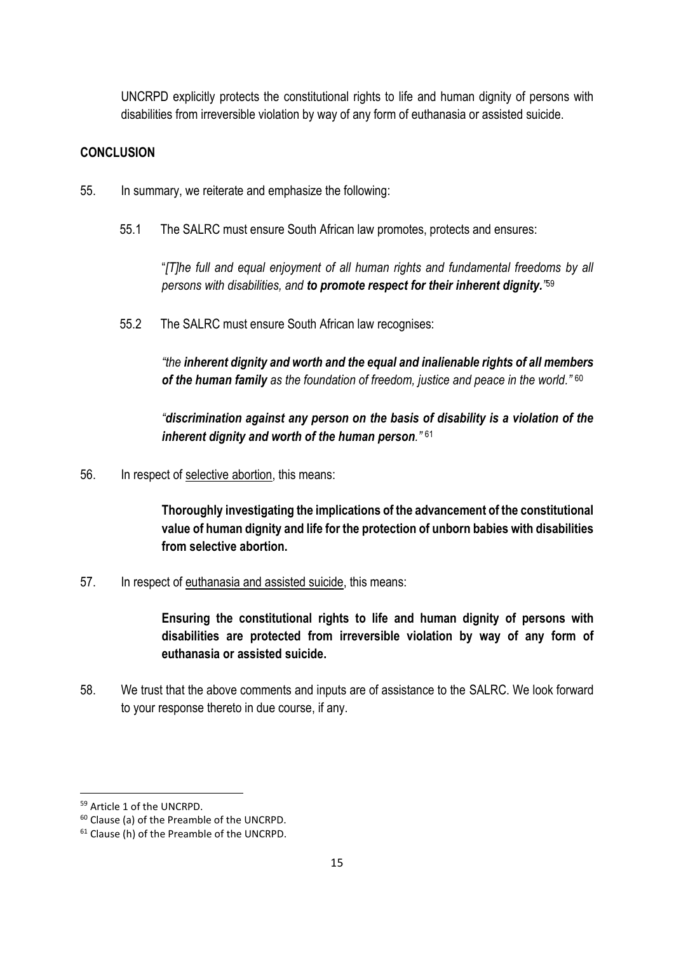UNCRPD explicitly protects the constitutional rights to life and human dignity of persons with disabilities from irreversible violation by way of any form of euthanasia or assisted suicide.

#### **CONCLUSION**

- 55. In summary, we reiterate and emphasize the following:
	- 55.1 The SALRC must ensure South African law promotes, protects and ensures:

"*[T]he full and equal enjoyment of all human rights and fundamental freedoms by all persons with disabilities, and to promote respect for their inherent dignity."* 59

55.2 The SALRC must ensure South African law recognises:

*"the inherent dignity and worth and the equal and inalienable rights of all members of the human family as the foundation of freedom, justice and peace in the world."* 60

*"discrimination against any person on the basis of disability is a violation of the inherent dignity and worth of the human person."* <sup>61</sup>

56. In respect of selective abortion, this means:

**Thoroughly investigating the implications of the advancement of the constitutional value of human dignity and life for the protection of unborn babies with disabilities from selective abortion.**

57. In respect of euthanasia and assisted suicide, this means:

**Ensuring the constitutional rights to life and human dignity of persons with disabilities are protected from irreversible violation by way of any form of euthanasia or assisted suicide.**

58. We trust that the above comments and inputs are of assistance to the SALRC. We look forward to your response thereto in due course, if any.

<sup>59</sup> Article 1 of the UNCRPD.

<sup>60</sup> Clause (a) of the Preamble of the UNCRPD.

<sup>61</sup> Clause (h) of the Preamble of the UNCRPD.